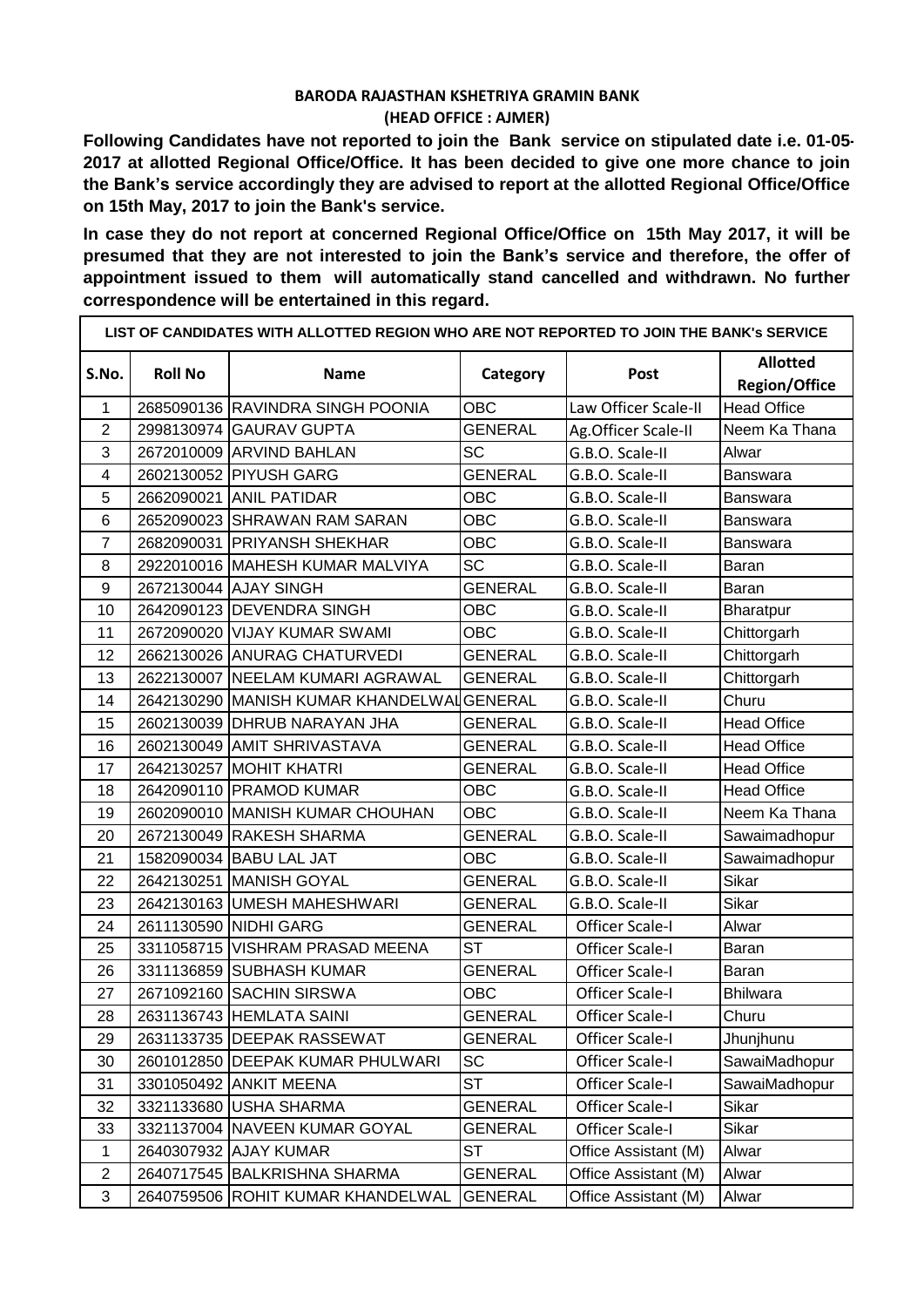## **BARODA RAJASTHAN KSHETRIYA GRAMIN BANK (HEAD OFFICE : AJMER)**

**Following Candidates have not reported to join the Bank service on stipulated date i.e. 01-05- at allotted Regional Office/Office. It has been decided to give one more chance to join the Bank's service accordingly they are advised to report at the allotted Regional Office/Office on 15th May, 2017 to join the Bank's service.**

**In case they do not report at concerned Regional Office/Office on 15th May 2017, it will be presumed that they are not interested to join the Bank's service and therefore, the offer of appointment issued to them will automatically stand cancelled and withdrawn. No further correspondence will be entertained in this regard.**

| LIST OF CANDIDATES WITH ALLOTTED REGION WHO ARE NOT REPORTED TO JOIN THE BANK'S SERVICE |                |                                            |                |                        |                                         |  |  |  |
|-----------------------------------------------------------------------------------------|----------------|--------------------------------------------|----------------|------------------------|-----------------------------------------|--|--|--|
| S.No.                                                                                   | <b>Roll No</b> | <b>Name</b>                                | Category       | Post                   | <b>Allotted</b><br><b>Region/Office</b> |  |  |  |
| 1                                                                                       |                | 2685090136 RAVINDRA SINGH POONIA           | <b>OBC</b>     | Law Officer Scale-II   | <b>Head Office</b>                      |  |  |  |
| $\overline{2}$                                                                          |                | 2998130974 GAURAV GUPTA                    | <b>GENERAL</b> | Ag.Officer Scale-II    | Neem Ka Thana                           |  |  |  |
| 3                                                                                       |                | 2672010009 ARVIND BAHLAN                   | <b>SC</b>      | G.B.O. Scale-II        | Alwar                                   |  |  |  |
| 4                                                                                       |                | 2602130052 PIYUSH GARG                     | <b>GENERAL</b> | G.B.O. Scale-II        | Banswara                                |  |  |  |
| 5                                                                                       |                | 2662090021 ANIL PATIDAR                    | <b>OBC</b>     | G.B.O. Scale-II        | <b>Banswara</b>                         |  |  |  |
| 6                                                                                       |                | 2652090023 SHRAWAN RAM SARAN               | <b>OBC</b>     | G.B.O. Scale-II        | Banswara                                |  |  |  |
| $\overline{7}$                                                                          |                | 2682090031 PRIYANSH SHEKHAR                | <b>OBC</b>     | G.B.O. Scale-II        | Banswara                                |  |  |  |
| 8                                                                                       |                | 2922010016 MAHESH KUMAR MALVIYA            | <b>SC</b>      | G.B.O. Scale-II        | <b>Baran</b>                            |  |  |  |
| $9$                                                                                     |                | 2672130044 AJAY SINGH                      | <b>GENERAL</b> | G.B.O. Scale-II        | Baran                                   |  |  |  |
| 10                                                                                      |                | 2642090123 DEVENDRA SINGH                  | <b>OBC</b>     | G.B.O. Scale-II        | <b>Bharatpur</b>                        |  |  |  |
| 11                                                                                      |                | 2672090020 VIJAY KUMAR SWAMI               | <b>OBC</b>     | G.B.O. Scale-II        | Chittorgarh                             |  |  |  |
| 12                                                                                      |                | 2662130026 ANURAG CHATURVEDI               | <b>GENERAL</b> | G.B.O. Scale-II        | Chittorgarh                             |  |  |  |
| 13                                                                                      |                | 2622130007 NEELAM KUMARI AGRAWAL           | <b>GENERAL</b> | G.B.O. Scale-II        | Chittorgarh                             |  |  |  |
| 14                                                                                      |                | 2642130290 MANISH KUMAR KHANDELWAI GENERAL |                | G.B.O. Scale-II        | Churu                                   |  |  |  |
| 15                                                                                      |                | 2602130039 DHRUB NARAYAN JHA               | <b>GENERAL</b> | G.B.O. Scale-II        | <b>Head Office</b>                      |  |  |  |
| 16                                                                                      |                | 2602130049 AMIT SHRIVASTAVA                | <b>GENERAL</b> | G.B.O. Scale-II        | <b>Head Office</b>                      |  |  |  |
| 17                                                                                      |                | 2642130257 MOHIT KHATRI                    | GENERAL        | G.B.O. Scale-II        | <b>Head Office</b>                      |  |  |  |
| 18                                                                                      |                | 2642090110 PRAMOD KUMAR                    | <b>OBC</b>     | G.B.O. Scale-II        | <b>Head Office</b>                      |  |  |  |
| 19                                                                                      |                | 2602090010 MANISH KUMAR CHOUHAN            | OBC            | G.B.O. Scale-II        | Neem Ka Thana                           |  |  |  |
| 20                                                                                      |                | 2672130049 RAKESH SHARMA                   | <b>GENERAL</b> | G.B.O. Scale-II        | Sawaimadhopur                           |  |  |  |
| 21                                                                                      |                | 1582090034 BABU LAL JAT                    | <b>OBC</b>     | G.B.O. Scale-II        | Sawaimadhopur                           |  |  |  |
| 22                                                                                      |                | 2642130251 MANISH GOYAL                    | <b>GENERAL</b> | G.B.O. Scale-II        | Sikar                                   |  |  |  |
| 23                                                                                      |                | 2642130163 UMESH MAHESHWARI                | <b>GENERAL</b> | G.B.O. Scale-II        | Sikar                                   |  |  |  |
| 24                                                                                      |                | 2611130590 NIDHI GARG                      | <b>GENERAL</b> | <b>Officer Scale-I</b> | Alwar                                   |  |  |  |
| 25                                                                                      |                | 3311058715 VISHRAM PRASAD MEENA            | <b>ST</b>      | <b>Officer Scale-I</b> | Baran                                   |  |  |  |
| 26                                                                                      |                | 3311136859 SUBHASH KUMAR                   | <b>GENERAL</b> | <b>Officer Scale-I</b> | Baran                                   |  |  |  |
| 27                                                                                      |                | 2671092160 SACHIN SIRSWA                   | <b>OBC</b>     | <b>Officer Scale-I</b> | <b>Bhilwara</b>                         |  |  |  |
| 28                                                                                      |                | 2631136743 HEMLATA SAINI                   | <b>GENERAL</b> | Officer Scale-I        | Churu                                   |  |  |  |
| 29                                                                                      |                | 2631133735 DEEPAK RASSEWAT                 | GENERAL        | Officer Scale-I        | Jhunjhunu                               |  |  |  |
| 30                                                                                      |                | 2601012850 DEEPAK KUMAR PHULWARI           | <b>SC</b>      | <b>Officer Scale-I</b> | SawaiMadhopur                           |  |  |  |
| 31                                                                                      |                | 3301050492 ANKIT MEENA                     | ST             | <b>Officer Scale-I</b> | SawaiMadhopur                           |  |  |  |
| 32                                                                                      |                | 3321133680 USHA SHARMA                     | <b>GENERAL</b> | <b>Officer Scale-I</b> | Sikar                                   |  |  |  |
| 33                                                                                      |                | 3321137004 NAVEEN KUMAR GOYAL              | <b>GENERAL</b> | <b>Officer Scale-I</b> | Sikar                                   |  |  |  |
| $\mathbf{1}$                                                                            |                | 2640307932 AJAY KUMAR                      | ST             | Office Assistant (M)   | Alwar                                   |  |  |  |
| $\overline{c}$                                                                          |                | 2640717545 BALKRISHNA SHARMA               | <b>GENERAL</b> | Office Assistant (M)   | Alwar                                   |  |  |  |
| 3                                                                                       |                | 2640759506 ROHIT KUMAR KHANDELWAL          | <b>GENERAL</b> | Office Assistant (M)   | Alwar                                   |  |  |  |